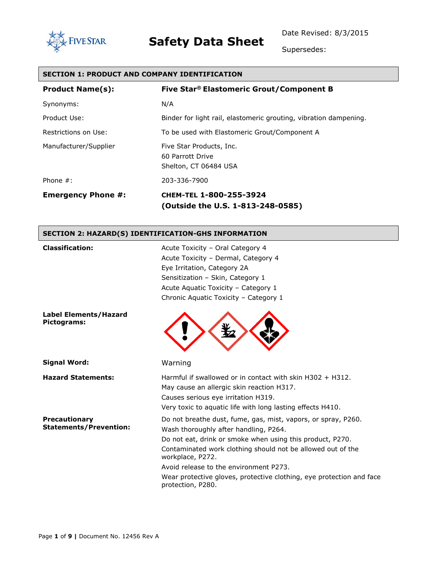

Date Revised: 8/3/2015

Supersedes:

| <b>SECTION 1: PRODUCT AND COMPANY IDENTIFICATION</b> |                                                                                                                                                                                                                            |  |
|------------------------------------------------------|----------------------------------------------------------------------------------------------------------------------------------------------------------------------------------------------------------------------------|--|
| <b>Product Name(s):</b>                              | Five Star® Elastomeric Grout/Component B                                                                                                                                                                                   |  |
| Synonyms:                                            | N/A                                                                                                                                                                                                                        |  |
| Product Use:                                         | Binder for light rail, elastomeric grouting, vibration dampening.                                                                                                                                                          |  |
| Restrictions on Use:                                 | To be used with Elastomeric Grout/Component A                                                                                                                                                                              |  |
| Manufacturer/Supplier                                | Five Star Products, Inc.<br>60 Parrott Drive<br>Shelton, CT 06484 USA                                                                                                                                                      |  |
| Phone $#$ :                                          | 203-336-7900                                                                                                                                                                                                               |  |
| <b>Emergency Phone #:</b>                            | CHEM-TEL 1-800-255-3924<br>(Outside the U.S. 1-813-248-0585)                                                                                                                                                               |  |
| SECTION 2: HAZARD(S) IDENTIFICATION-GHS INFORMATION  |                                                                                                                                                                                                                            |  |
| <b>Classification:</b>                               | Acute Toxicity - Oral Category 4<br>Acute Toxicity - Dermal, Category 4<br>Eye Irritation, Category 2A<br>Sensitization - Skin, Category 1<br>Acute Aquatic Toxicity - Category 1<br>Chronic Aquatic Toxicity - Category 1 |  |
| <b>Label Elements/Hazard</b><br>Pictograms:          |                                                                                                                                                                                                                            |  |
| <b>Signal Word:</b>                                  | Warning                                                                                                                                                                                                                    |  |
| <b>Hazard Statements:</b>                            | Harmful if swallowed or in contact with skin H302 + H312.<br>May cause an allergic skin reaction H317.<br>Causes serious eye irritation H319.                                                                              |  |

**Precautionary Statements/Prevention:** Do not breathe dust, fume, gas, mist, vapors, or spray, P260. Wash thoroughly after handling, P264.

Very toxic to aquatic life with long lasting effects H410.

Do not eat, drink or smoke when using this product, P270. Contaminated work clothing should not be allowed out of the workplace, P272.

Avoid release to the environment P273.

Wear protective gloves, protective clothing, eye protection and face protection, P280.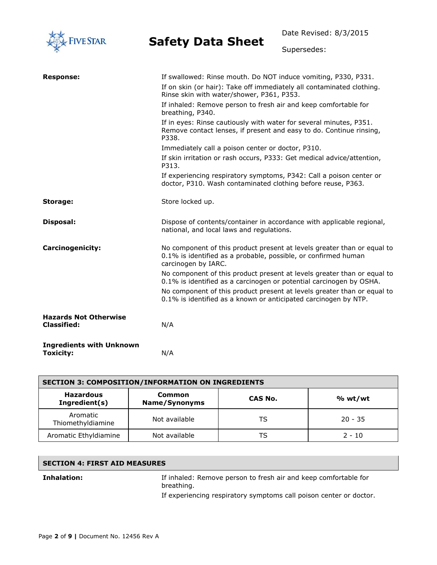

Date Revised: 8/3/2015

Supersedes:

| <b>Response:</b>                                    | If swallowed: Rinse mouth. Do NOT induce vomiting, P330, P331.                                                                                                   |
|-----------------------------------------------------|------------------------------------------------------------------------------------------------------------------------------------------------------------------|
|                                                     | If on skin (or hair): Take off immediately all contaminated clothing.<br>Rinse skin with water/shower, P361, P353.                                               |
|                                                     | If inhaled: Remove person to fresh air and keep comfortable for<br>breathing, P340.                                                                              |
|                                                     | If in eyes: Rinse cautiously with water for several minutes, P351.<br>Remove contact lenses, if present and easy to do. Continue rinsing,<br>P338.               |
|                                                     | Immediately call a poison center or doctor, P310.                                                                                                                |
|                                                     | If skin irritation or rash occurs, P333: Get medical advice/attention,<br>P313.                                                                                  |
|                                                     | If experiencing respiratory symptoms, P342: Call a poison center or<br>doctor, P310. Wash contaminated clothing before reuse, P363.                              |
| Storage:                                            | Store locked up.                                                                                                                                                 |
| Disposal:                                           | Dispose of contents/container in accordance with applicable regional,<br>national, and local laws and regulations.                                               |
| Carcinogenicity:                                    | No component of this product present at levels greater than or equal to<br>0.1% is identified as a probable, possible, or confirmed human<br>carcinogen by IARC. |
|                                                     | No component of this product present at levels greater than or equal to<br>0.1% is identified as a carcinogen or potential carcinogen by OSHA.                   |
|                                                     | No component of this product present at levels greater than or equal to<br>0.1% is identified as a known or anticipated carcinogen by NTP.                       |
| <b>Hazards Not Otherwise</b><br><b>Classified:</b>  | N/A                                                                                                                                                              |
| <b>Ingredients with Unknown</b><br><b>Toxicity:</b> | N/A                                                                                                                                                              |

| <b>SECTION 3: COMPOSITION/INFORMATION ON INGREDIENTS</b> |                         |         |           |
|----------------------------------------------------------|-------------------------|---------|-----------|
| <b>Hazardous</b><br>Ingredient(s)                        | Common<br>Name/Synonyms | CAS No. | % wt/wt   |
| Aromatic<br>Thiomethyldiamine                            | Not available           | TS      | $20 - 35$ |
| Aromatic Ethyldiamine                                    | Not available           | TS      | $2 - 10$  |

#### **SECTION 4: FIRST AID MEASURES**

**Inhalation:** If inhaled: Remove person to fresh air and keep comfortable for breathing.

If experiencing respiratory symptoms call poison center or doctor.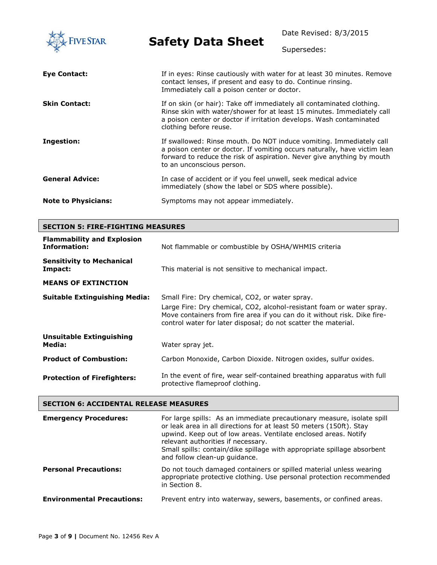Date Revised: 8/3/2015 **Safety Data Sheet IVE STAR** Supersedes: **Eye Contact:** If in eyes: Rinse cautiously with water for at least 30 minutes. Remove contact lenses, if present and easy to do. Continue rinsing. Immediately call a poison center or doctor. **Skin Contact: If on skin (or hair): Take off immediately all contaminated clothing.** Rinse skin with water/shower for at least 15 minutes. Immediately call a poison center or doctor if irritation develops. Wash contaminated clothing before reuse. **Ingestion:** If swallowed: Rinse mouth. Do NOT induce vomiting. Immediately call a poison center or doctor. If vomiting occurs naturally, have victim lean forward to reduce the risk of aspiration. Never give anything by mouth to an unconscious person. **General Advice:** In case of accident or if you feel unwell, seek medical advice immediately (show the label or SDS where possible). **Note to Physicians:** Symptoms may not appear immediately.

| <b>SECTION 5: FIRE-FIGHTING MEASURES</b>                 |                                                                                                                                                                                                                                                                       |  |
|----------------------------------------------------------|-----------------------------------------------------------------------------------------------------------------------------------------------------------------------------------------------------------------------------------------------------------------------|--|
| <b>Flammability and Explosion</b><br><b>Information:</b> | Not flammable or combustible by OSHA/WHMIS criteria                                                                                                                                                                                                                   |  |
| <b>Sensitivity to Mechanical</b><br>Impact:              | This material is not sensitive to mechanical impact.                                                                                                                                                                                                                  |  |
| <b>MEANS OF EXTINCTION</b>                               |                                                                                                                                                                                                                                                                       |  |
| <b>Suitable Extinguishing Media:</b>                     | Small Fire: Dry chemical, CO2, or water spray.<br>Large Fire: Dry chemical, CO2, alcohol-resistant foam or water spray.<br>Move containers from fire area if you can do it without risk. Dike fire-<br>control water for later disposal; do not scatter the material. |  |
| <b>Unsuitable Extinguishing</b><br>Media:                | Water spray jet.                                                                                                                                                                                                                                                      |  |
| <b>Product of Combustion:</b>                            | Carbon Monoxide, Carbon Dioxide. Nitrogen oxides, sulfur oxides.                                                                                                                                                                                                      |  |
| <b>Protection of Firefighters:</b>                       | In the event of fire, wear self-contained breathing apparatus with full<br>protective flameproof clothing.                                                                                                                                                            |  |

#### **SECTION 6: ACCIDENTAL RELEASE MEASURES**

| <b>Emergency Procedures:</b>      | For large spills: As an immediate precautionary measure, isolate spill<br>or leak area in all directions for at least 50 meters (150ft). Stay<br>upwind. Keep out of low areas. Ventilate enclosed areas. Notify<br>relevant authorities if necessary.<br>Small spills: contain/dike spillage with appropriate spillage absorbent<br>and follow clean-up guidance. |
|-----------------------------------|--------------------------------------------------------------------------------------------------------------------------------------------------------------------------------------------------------------------------------------------------------------------------------------------------------------------------------------------------------------------|
| <b>Personal Precautions:</b>      | Do not touch damaged containers or spilled material unless wearing<br>appropriate protective clothing. Use personal protection recommended<br>in Section 8.                                                                                                                                                                                                        |
| <b>Environmental Precautions:</b> | Prevent entry into waterway, sewers, basements, or confined areas.                                                                                                                                                                                                                                                                                                 |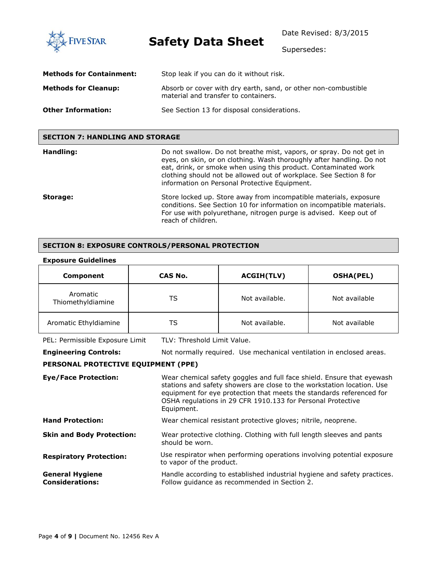**FIVE STAR** 

**Safety Data Sheet**

Date Revised: 8/3/2015

Supersedes:

| <b>Methods for Containment:</b> | Stop leak if you can do it without risk.                                                               |
|---------------------------------|--------------------------------------------------------------------------------------------------------|
| <b>Methods for Cleanup:</b>     | Absorb or cover with dry earth, sand, or other non-combustible<br>material and transfer to containers. |
| <b>Other Information:</b>       | See Section 13 for disposal considerations.                                                            |

#### **SECTION 7: HANDLING AND STORAGE**

| Handling: | Do not swallow. Do not breathe mist, vapors, or spray. Do not get in<br>eyes, on skin, or on clothing. Wash thoroughly after handling. Do not<br>eat, drink, or smoke when using this product. Contaminated work<br>clothing should not be allowed out of workplace. See Section 8 for<br>information on Personal Protective Equipment. |
|-----------|-----------------------------------------------------------------------------------------------------------------------------------------------------------------------------------------------------------------------------------------------------------------------------------------------------------------------------------------|
| Storage:  | Store locked up. Store away from incompatible materials, exposure<br>conditions. See Section 10 for information on incompatible materials.<br>For use with polyurethane, nitrogen purge is advised. Keep out of<br>reach of children.                                                                                                   |

#### **SECTION 8: EXPOSURE CONTROLS/PERSONAL PROTECTION**

#### **Exposure Guidelines**

| Component                     | CAS No. | <b>ACGIH(TLV)</b> | <b>OSHA(PEL)</b> |
|-------------------------------|---------|-------------------|------------------|
| Aromatic<br>Thiomethyldiamine | TS      | Not available.    | Not available    |
| Aromatic Ethyldiamine         | TS      | Not available.    | Not available    |

PEL: Permissible Exposure Limit TLV: Threshold Limit Value.

**Engineering Controls:** Not normally required. Use mechanical ventilation in enclosed areas.

#### **PERSONAL PROTECTIVE EQUIPMENT (PPE)**

**Eye/Face Protection:** Wear chemical safety goggles and full face shield. Ensure that eyewash stations and safety showers are close to the workstation location. Use equipment for eye protection that meets the standards referenced for OSHA regulations in 29 CFR 1910.133 for Personal Protective Equipment. Hand Protection: Wear chemical resistant protective gloves; nitrile, neoprene. **Skin and Body Protection:** Wear protective clothing. Clothing with full length sleeves and pants should be worn. **Respiratory Protection:** Use respirator when performing operations involving potential exposure to vapor of the product. **General Hygiene Considerations:** Handle according to established industrial hygiene and safety practices. Follow guidance as recommended in Section 2.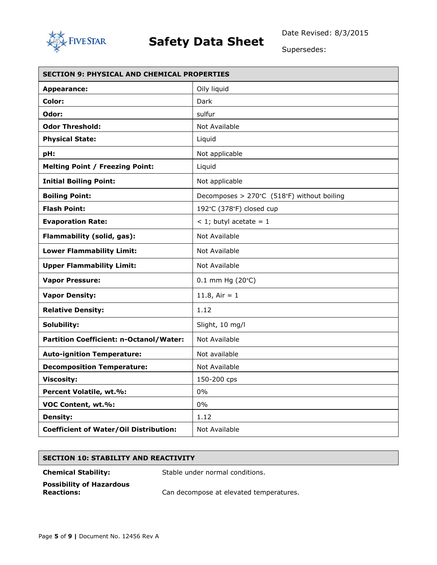

Supersedes:

| <b>SECTION 9: PHYSICAL AND CHEMICAL PROPERTIES</b> |                                            |  |
|----------------------------------------------------|--------------------------------------------|--|
| <b>Appearance:</b>                                 | Oily liquid                                |  |
| Color:                                             | Dark                                       |  |
| Odor:                                              | sulfur                                     |  |
| <b>Odor Threshold:</b>                             | Not Available                              |  |
| <b>Physical State:</b>                             | Liquid                                     |  |
| pH:                                                | Not applicable                             |  |
| <b>Melting Point / Freezing Point:</b>             | Liquid                                     |  |
| <b>Initial Boiling Point:</b>                      | Not applicable                             |  |
| <b>Boiling Point:</b>                              | Decomposes > 270°C (518°F) without boiling |  |
| <b>Flash Point:</b>                                | 192°C (378°F) closed cup                   |  |
| <b>Evaporation Rate:</b>                           | $<$ 1; butyl acetate = 1                   |  |
| Flammability (solid, gas):                         | Not Available                              |  |
| <b>Lower Flammability Limit:</b>                   | Not Available                              |  |
| <b>Upper Flammability Limit:</b>                   | Not Available                              |  |
| <b>Vapor Pressure:</b>                             | $0.1$ mm Hg (20 $^{\circ}$ C)              |  |
| <b>Vapor Density:</b>                              | 11.8, Air = $1$                            |  |
| <b>Relative Density:</b>                           | 1.12                                       |  |
| Solubility:                                        | Slight, 10 mg/l                            |  |
| <b>Partition Coefficient: n-Octanol/Water:</b>     | Not Available                              |  |
| <b>Auto-ignition Temperature:</b>                  | Not available                              |  |
| <b>Decomposition Temperature:</b>                  | Not Available                              |  |
| <b>Viscosity:</b>                                  | 150-200 cps                                |  |
| Percent Volatile, wt.%:                            | 0%                                         |  |
| VOC Content, wt.%:                                 | 0%                                         |  |
| <b>Density:</b>                                    | 1.12                                       |  |
| <b>Coefficient of Water/Oil Distribution:</b>      | Not Available                              |  |

#### **SECTION 10: STABILITY AND REACTIVITY**

**Chemical Stability:** Stable under normal conditions.

**Possibility of Hazardous** 

Can decompose at elevated temperatures.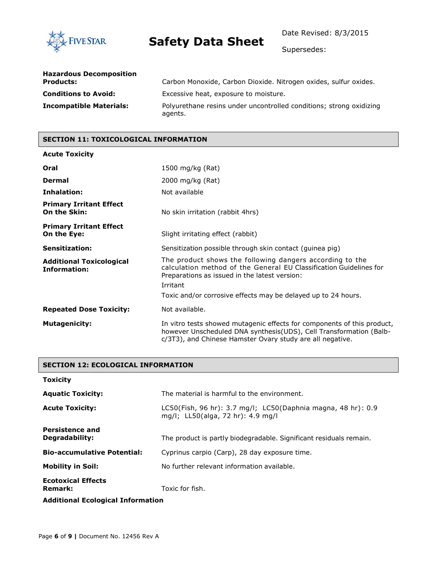

Date Revised: 8/3/2015

Supersedes:

| <b>Hazardous Decomposition</b><br><b>Products:</b> | Carbon Monoxide, Carbon Dioxide. Nitrogen oxides, sulfur oxides.               |
|----------------------------------------------------|--------------------------------------------------------------------------------|
| <b>Conditions to Avoid:</b>                        | Excessive heat, exposure to moisture.                                          |
| <b>Incompatible Materials:</b>                     | Polyurethane resins under uncontrolled conditions; strong oxidizing<br>agents. |

#### **SECTION 11: TOXICOLOGICAL INFORMATION**

### **Acute Toxicity Oral** 1500 mg/kg (Rat) **Dermal** 2000 mg/kg (Rat) **Inhalation:** Not available **Primary Irritant Effect On the Skin:** No skin irritation (rabbit 4hrs) **Primary Irritant Effect On the Eye:** Slight irritating effect (rabbit) **Sensitization:** Sensitization possible through skin contact (quinea pig) **Additional Toxicological Information:** The product shows the following dangers according to the calculation method of the General EU Classification Guidelines for Preparations as issued in the latest version: Irritant Toxic and/or corrosive effects may be delayed up to 24 hours. **Repeated Dose Toxicity:** Not available. **Mutagenicity:** In vitro tests showed mutagenic effects for components of this product, however Unscheduled DNA synthesis(UDS), Cell Transformation (Balbc/3T3), and Chinese Hamster Ovary study are all negative.

#### **SECTION 12: ECOLOGICAL INFORMATION**

| <b>Toxicity</b>                             |                                                                                                   |
|---------------------------------------------|---------------------------------------------------------------------------------------------------|
| <b>Aquatic Toxicity:</b>                    | The material is harmful to the environment.                                                       |
| <b>Acute Toxicity:</b>                      | LC50(Fish, 96 hr): 3.7 mg/l; LC50(Daphnia magna, 48 hr): 0.9<br>mg/l; LL50(alga, 72 hr): 4.9 mg/l |
| <b>Persistence and</b><br>Degradability:    | The product is partly biodegradable. Significant residuals remain.                                |
| <b>Bio-accumulative Potential:</b>          | Cyprinus carpio (Carp), 28 day exposure time.                                                     |
| <b>Mobility in Soil:</b>                    | No further relevant information available.                                                        |
| <b>Ecotoxical Effects</b><br><b>Remark:</b> | Toxic for fish.                                                                                   |
| <b>Additional Ecological Information</b>    |                                                                                                   |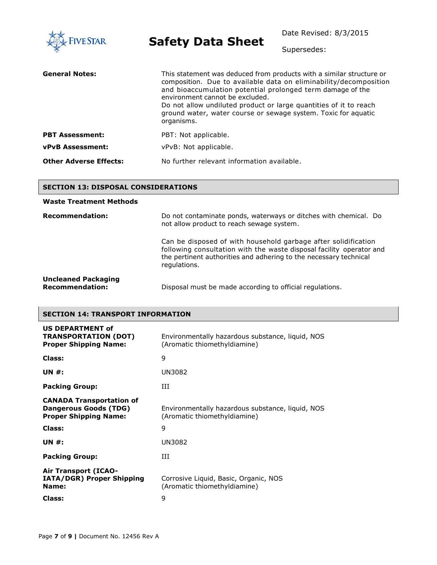| <b>FIVE STAR</b>              | <b>Safety Data Sheet</b>                                                                                                                                                                                                                                                                                                                                                                        | Date Revised: 8/3/2015<br>Supersedes: |
|-------------------------------|-------------------------------------------------------------------------------------------------------------------------------------------------------------------------------------------------------------------------------------------------------------------------------------------------------------------------------------------------------------------------------------------------|---------------------------------------|
| <b>General Notes:</b>         | This statement was deduced from products with a similar structure or<br>composition. Due to available data on eliminability/decomposition<br>and bioaccumulation potential prolonged term damage of the<br>environment cannot be excluded.<br>Do not allow undiluted product or large quantities of it to reach<br>ground water, water course or sewage system. Toxic for aquatic<br>organisms. |                                       |
| <b>PBT Assessment:</b>        | PBT: Not applicable.                                                                                                                                                                                                                                                                                                                                                                            |                                       |
| <b>vPvB Assessment:</b>       | vPvB: Not applicable.                                                                                                                                                                                                                                                                                                                                                                           |                                       |
| <b>Other Adverse Effects:</b> | No further relevant information available.                                                                                                                                                                                                                                                                                                                                                      |                                       |

#### **SECTION 13: DISPOSAL CONSIDERATIONS**

#### **Waste Treatment Methods**

| <b>Recommendation:</b>                               | Do not contaminate ponds, waterways or ditches with chemical. Do<br>not allow product to reach sewage system.                                                                                                               |  |
|------------------------------------------------------|-----------------------------------------------------------------------------------------------------------------------------------------------------------------------------------------------------------------------------|--|
|                                                      | Can be disposed of with household garbage after solidification<br>following consultation with the waste disposal facility operator and<br>the pertinent authorities and adhering to the necessary technical<br>regulations. |  |
| <b>Uncleaned Packaging</b><br><b>Recommendation:</b> | Disposal must be made according to official regulations.                                                                                                                                                                    |  |

#### **SECTION 14: TRANSPORT INFORMATION**

| <b>US DEPARTMENT of</b><br><b>TRANSPORTATION (DOT)</b><br><b>Proper Shipping Name:</b>          | Environmentally hazardous substance, liquid, NOS<br>(Aromatic thiomethyldiamine) |
|-------------------------------------------------------------------------------------------------|----------------------------------------------------------------------------------|
| Class:                                                                                          | 9                                                                                |
| <b>UN #:</b>                                                                                    | UN3082                                                                           |
| <b>Packing Group:</b>                                                                           | Ш                                                                                |
| <b>CANADA Transportation of</b><br><b>Dangerous Goods (TDG)</b><br><b>Proper Shipping Name:</b> | Environmentally hazardous substance, liquid, NOS<br>(Aromatic thiomethyldiamine) |
| Class:                                                                                          | 9                                                                                |
| <b>UN #:</b>                                                                                    | UN3082                                                                           |
| <b>Packing Group:</b>                                                                           | ĦТ                                                                               |
| <b>Air Transport (ICAO-</b><br>IATA/DGR) Proper Shipping<br>Name:                               | Corrosive Liquid, Basic, Organic, NOS<br>(Aromatic thiomethyldiamine)            |
| <b>Class:</b>                                                                                   | 9                                                                                |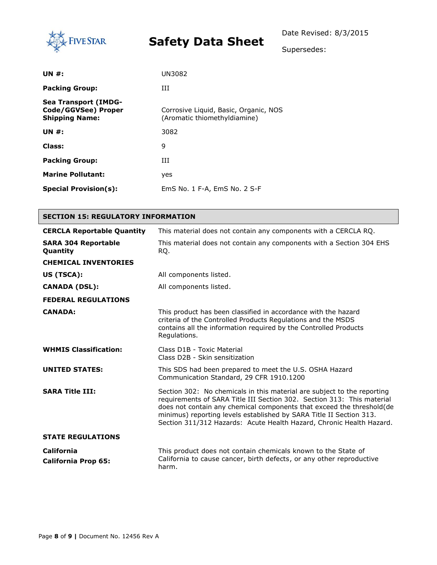

Supersedes:

| <b>UN #:</b>                                                                | UN3082                                                                |
|-----------------------------------------------------------------------------|-----------------------------------------------------------------------|
| <b>Packing Group:</b>                                                       | Ш                                                                     |
| <b>Sea Transport (IMDG-</b><br>Code/GGVSee) Proper<br><b>Shipping Name:</b> | Corrosive Liquid, Basic, Organic, NOS<br>(Aromatic thiomethyldiamine) |
| <b>UN #:</b>                                                                | 3082                                                                  |
| Class:                                                                      | 9                                                                     |
| <b>Packing Group:</b>                                                       | Ш                                                                     |
| <b>Marine Pollutant:</b>                                                    | yes                                                                   |
| <b>Special Provision(s):</b>                                                | EmS No. 1 F-A, EmS No. 2 S-F                                          |

| <b>SECTION 15: REGULATORY INFORMATION</b>       |                                                                                                                                                                                                                                                                                                                                                                           |  |  |  |
|-------------------------------------------------|---------------------------------------------------------------------------------------------------------------------------------------------------------------------------------------------------------------------------------------------------------------------------------------------------------------------------------------------------------------------------|--|--|--|
| <b>CERCLA Reportable Quantity</b>               | This material does not contain any components with a CERCLA RQ.                                                                                                                                                                                                                                                                                                           |  |  |  |
| <b>SARA 304 Reportable</b><br><b>Quantity</b>   | This material does not contain any components with a Section 304 EHS<br>RQ.                                                                                                                                                                                                                                                                                               |  |  |  |
| <b>CHEMICAL INVENTORIES</b>                     |                                                                                                                                                                                                                                                                                                                                                                           |  |  |  |
| US (TSCA):                                      | All components listed.                                                                                                                                                                                                                                                                                                                                                    |  |  |  |
| <b>CANADA (DSL):</b>                            | All components listed.                                                                                                                                                                                                                                                                                                                                                    |  |  |  |
| <b>FEDERAL REGULATIONS</b>                      |                                                                                                                                                                                                                                                                                                                                                                           |  |  |  |
| <b>CANADA:</b>                                  | This product has been classified in accordance with the hazard<br>criteria of the Controlled Products Regulations and the MSDS<br>contains all the information required by the Controlled Products<br>Regulations.                                                                                                                                                        |  |  |  |
| <b>WHMIS Classification:</b>                    | Class D <sub>1</sub> B - Toxic Material<br>Class D2B - Skin sensitization                                                                                                                                                                                                                                                                                                 |  |  |  |
| <b>UNITED STATES:</b>                           | This SDS had been prepared to meet the U.S. OSHA Hazard<br>Communication Standard, 29 CFR 1910.1200                                                                                                                                                                                                                                                                       |  |  |  |
| <b>SARA Title III:</b>                          | Section 302: No chemicals in this material are subject to the reporting<br>requirements of SARA Title III Section 302. Section 313: This material<br>does not contain any chemical components that exceed the threshold(de<br>minimus) reporting levels established by SARA Title II Section 313.<br>Section 311/312 Hazards: Acute Health Hazard, Chronic Health Hazard. |  |  |  |
| <b>STATE REGULATIONS</b>                        |                                                                                                                                                                                                                                                                                                                                                                           |  |  |  |
| <b>California</b><br><b>California Prop 65:</b> | This product does not contain chemicals known to the State of<br>California to cause cancer, birth defects, or any other reproductive<br>harm.                                                                                                                                                                                                                            |  |  |  |